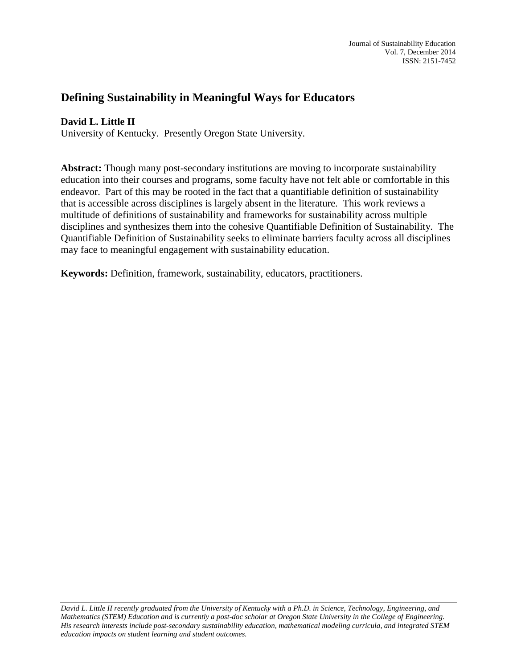# **Defining Sustainability in Meaningful Ways for Educators**

# **David L. Little II**

University of Kentucky. Presently Oregon State University.

**Abstract:** Though many post-secondary institutions are moving to incorporate sustainability education into their courses and programs, some faculty have not felt able or comfortable in this endeavor. Part of this may be rooted in the fact that a quantifiable definition of sustainability that is accessible across disciplines is largely absent in the literature. This work reviews a multitude of definitions of sustainability and frameworks for sustainability across multiple disciplines and synthesizes them into the cohesive Quantifiable Definition of Sustainability. The Quantifiable Definition of Sustainability seeks to eliminate barriers faculty across all disciplines may face to meaningful engagement with sustainability education.

**Keywords:** Definition, framework, sustainability, educators, practitioners.

*David L. Little II recently graduated from the University of Kentucky with a Ph.D. in Science, Technology, Engineering, and Mathematics (STEM) Education and is currently a post-doc scholar at Oregon State University in the College of Engineering. His research interests include post-secondary sustainability education, mathematical modeling curricula, and integrated STEM education impacts on student learning and student outcomes.*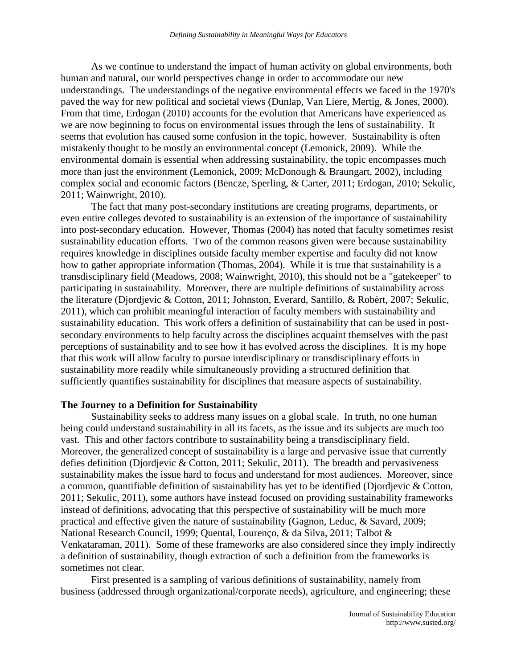As we continue to understand the impact of human activity on global environments, both human and natural, our world perspectives change in order to accommodate our new understandings. The understandings of the negative environmental effects we faced in the 1970's paved the way for new political and societal views (Dunlap, Van Liere, Mertig, & Jones, 2000). From that time, Erdogan (2010) accounts for the evolution that Americans have experienced as we are now beginning to focus on environmental issues through the lens of sustainability. It seems that evolution has caused some confusion in the topic, however. Sustainability is often mistakenly thought to be mostly an environmental concept (Lemonick, 2009). While the environmental domain is essential when addressing sustainability, the topic encompasses much more than just the environment (Lemonick, 2009; McDonough & Braungart, 2002), including complex social and economic factors (Bencze, Sperling, & Carter, 2011; Erdogan, 2010; Sekulic, 2011; Wainwright, 2010).

The fact that many post-secondary institutions are creating programs, departments, or even entire colleges devoted to sustainability is an extension of the importance of sustainability into post-secondary education. However, Thomas (2004) has noted that faculty sometimes resist sustainability education efforts. Two of the common reasons given were because sustainability requires knowledge in disciplines outside faculty member expertise and faculty did not know how to gather appropriate information (Thomas, 2004). While it is true that sustainability is a transdisciplinary field (Meadows, 2008; Wainwright, 2010), this should not be a "gatekeeper" to participating in sustainability. Moreover, there are multiple definitions of sustainability across the literature (Djordjevic & Cotton, 2011; Johnston, Everard, Santillo, & Robèrt, 2007; Sekulic, 2011), which can prohibit meaningful interaction of faculty members with sustainability and sustainability education. This work offers a definition of sustainability that can be used in postsecondary environments to help faculty across the disciplines acquaint themselves with the past perceptions of sustainability and to see how it has evolved across the disciplines. It is my hope that this work will allow faculty to pursue interdisciplinary or transdisciplinary efforts in sustainability more readily while simultaneously providing a structured definition that sufficiently quantifies sustainability for disciplines that measure aspects of sustainability.

#### **The Journey to a Definition for Sustainability**

Sustainability seeks to address many issues on a global scale. In truth, no one human being could understand sustainability in all its facets, as the issue and its subjects are much too vast. This and other factors contribute to sustainability being a transdisciplinary field. Moreover, the generalized concept of sustainability is a large and pervasive issue that currently defies definition (Djordjevic & Cotton, 2011; Sekulic, 2011). The breadth and pervasiveness sustainability makes the issue hard to focus and understand for most audiences. Moreover, since a common, quantifiable definition of sustainability has yet to be identified (Djordjevic & Cotton, 2011; Sekulic, 2011), some authors have instead focused on providing sustainability frameworks instead of definitions, advocating that this perspective of sustainability will be much more practical and effective given the nature of sustainability (Gagnon, Leduc, & Savard, 2009; National Research Council, 1999; Quental, Lourenço, & da Silva, 2011; Talbot & Venkataraman, 2011). Some of these frameworks are also considered since they imply indirectly a definition of sustainability, though extraction of such a definition from the frameworks is sometimes not clear.

First presented is a sampling of various definitions of sustainability, namely from business (addressed through organizational/corporate needs), agriculture, and engineering; these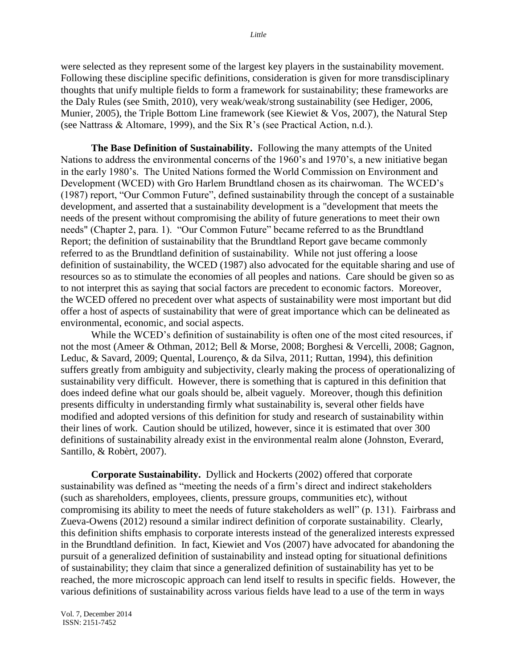were selected as they represent some of the largest key players in the sustainability movement. Following these discipline specific definitions, consideration is given for more transdisciplinary thoughts that unify multiple fields to form a framework for sustainability; these frameworks are the Daly Rules (see Smith, 2010), very weak/weak/strong sustainability (see Hediger, 2006, Munier, 2005), the Triple Bottom Line framework (see Kiewiet & Vos, 2007), the Natural Step (see Nattrass & Altomare, 1999), and the Six R"s (see Practical Action, n.d.).

**The Base Definition of Sustainability.** Following the many attempts of the United Nations to address the environmental concerns of the 1960"s and 1970"s, a new initiative began in the early 1980"s. The United Nations formed the World Commission on Environment and Development (WCED) with Gro Harlem Brundtland chosen as its chairwoman. The WCED"s (1987) report, "Our Common Future", defined sustainability through the concept of a sustainable development, and asserted that a sustainability development is a "development that meets the needs of the present without compromising the ability of future generations to meet their own needs" (Chapter 2, para. 1). "Our Common Future" became referred to as the Brundtland Report; the definition of sustainability that the Brundtland Report gave became commonly referred to as the Brundtland definition of sustainability. While not just offering a loose definition of sustainability, the WCED (1987) also advocated for the equitable sharing and use of resources so as to stimulate the economies of all peoples and nations. Care should be given so as to not interpret this as saying that social factors are precedent to economic factors. Moreover, the WCED offered no precedent over what aspects of sustainability were most important but did offer a host of aspects of sustainability that were of great importance which can be delineated as environmental, economic, and social aspects.

While the WCED's definition of sustainability is often one of the most cited resources, if not the most (Ameer & Othman, 2012; Bell & Morse, 2008; Borghesi & Vercelli, 2008; Gagnon, Leduc, & Savard, 2009; Quental, Lourenço, & da Silva, 2011; Ruttan, 1994), this definition suffers greatly from ambiguity and subjectivity, clearly making the process of operationalizing of sustainability very difficult. However, there is something that is captured in this definition that does indeed define what our goals should be, albeit vaguely. Moreover, though this definition presents difficulty in understanding firmly what sustainability is, several other fields have modified and adopted versions of this definition for study and research of sustainability within their lines of work. Caution should be utilized, however, since it is estimated that over 300 definitions of sustainability already exist in the environmental realm alone (Johnston, Everard, Santillo, & Robèrt, 2007).

**Corporate Sustainability.** Dyllick and Hockerts (2002) offered that corporate sustainability was defined as "meeting the needs of a firm"s direct and indirect stakeholders (such as shareholders, employees, clients, pressure groups, communities etc), without compromising its ability to meet the needs of future stakeholders as well" (p. 131). Fairbrass and Zueva-Owens (2012) resound a similar indirect definition of corporate sustainability. Clearly, this definition shifts emphasis to corporate interests instead of the generalized interests expressed in the Brundtland definition. In fact, Kiewiet and Vos (2007) have advocated for abandoning the pursuit of a generalized definition of sustainability and instead opting for situational definitions of sustainability; they claim that since a generalized definition of sustainability has yet to be reached, the more microscopic approach can lend itself to results in specific fields. However, the various definitions of sustainability across various fields have lead to a use of the term in ways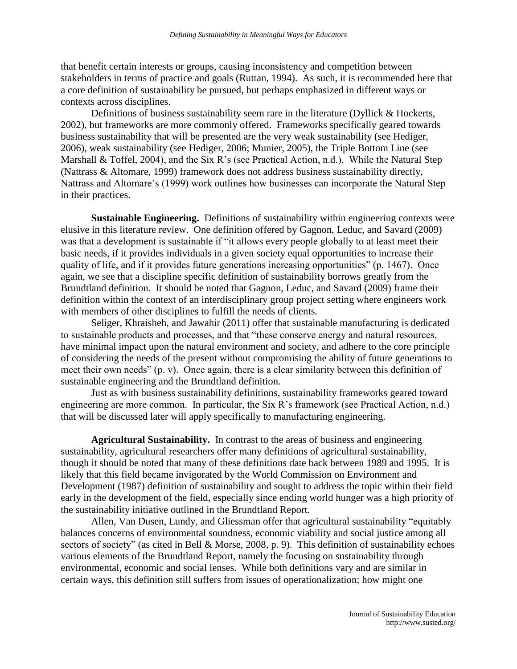that benefit certain interests or groups, causing inconsistency and competition between stakeholders in terms of practice and goals (Ruttan, 1994). As such, it is recommended here that a core definition of sustainability be pursued, but perhaps emphasized in different ways or contexts across disciplines.

Definitions of business sustainability seem rare in the literature (Dyllick & Hockerts, 2002), but frameworks are more commonly offered. Frameworks specifically geared towards business sustainability that will be presented are the very weak sustainability (see Hediger, 2006), weak sustainability (see Hediger, 2006; Munier, 2005), the Triple Bottom Line (see Marshall & Toffel, 2004), and the Six R's (see Practical Action, n.d.). While the Natural Step (Nattrass & Altomare, 1999) framework does not address business sustainability directly, Nattrass and Altomare"s (1999) work outlines how businesses can incorporate the Natural Step in their practices.

**Sustainable Engineering.** Definitions of sustainability within engineering contexts were elusive in this literature review. One definition offered by Gagnon, Leduc, and Savard (2009) was that a development is sustainable if "it allows every people globally to at least meet their basic needs, if it provides individuals in a given society equal opportunities to increase their quality of life, and if it provides future generations increasing opportunities" (p. 1467). Once again, we see that a discipline specific definition of sustainability borrows greatly from the Brundtland definition. It should be noted that Gagnon, Leduc, and Savard (2009) frame their definition within the context of an interdisciplinary group project setting where engineers work with members of other disciplines to fulfill the needs of clients.

Seliger, Khraisheh, and Jawahir (2011) offer that sustainable manufacturing is dedicated to sustainable products and processes, and that "these conserve energy and natural resources, have minimal impact upon the natural environment and society, and adhere to the core principle of considering the needs of the present without compromising the ability of future generations to meet their own needs" (p. v). Once again, there is a clear similarity between this definition of sustainable engineering and the Brundtland definition.

Just as with business sustainability definitions, sustainability frameworks geared toward engineering are more common. In particular, the Six R's framework (see Practical Action, n.d.) that will be discussed later will apply specifically to manufacturing engineering.

**Agricultural Sustainability.** In contrast to the areas of business and engineering sustainability, agricultural researchers offer many definitions of agricultural sustainability, though it should be noted that many of these definitions date back between 1989 and 1995. It is likely that this field became invigorated by the World Commission on Environment and Development (1987) definition of sustainability and sought to address the topic within their field early in the development of the field, especially since ending world hunger was a high priority of the sustainability initiative outlined in the Brundtland Report.

Allen, Van Dusen, Lundy, and Gliessman offer that agricultural sustainability "equitably balances concerns of environmental soundness, economic viability and social justice among all sectors of society" (as cited in Bell & Morse, 2008, p. 9). This definition of sustainability echoes various elements of the Brundtland Report, namely the focusing on sustainability through environmental, economic and social lenses. While both definitions vary and are similar in certain ways, this definition still suffers from issues of operationalization; how might one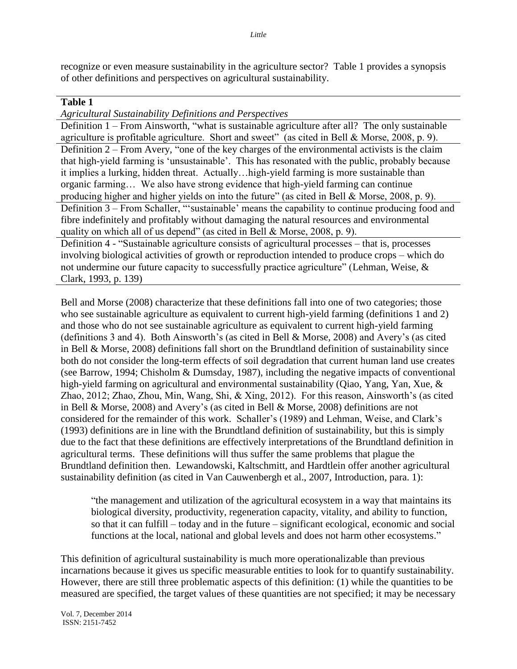recognize or even measure sustainability in the agriculture sector? Table 1 provides a synopsis of other definitions and perspectives on agricultural sustainability.

# **Table 1**

*Agricultural Sustainability Definitions and Perspectives*

Definition 1 – From Ainsworth, "what is sustainable agriculture after all? The only sustainable agriculture is profitable agriculture. Short and sweet" (as cited in Bell & Morse, 2008, p. 9). Definition 2 – From Avery, "one of the key charges of the environmental activists is the claim that high-yield farming is "unsustainable". This has resonated with the public, probably because it implies a lurking, hidden threat. Actually…high-yield farming is more sustainable than organic farming… We also have strong evidence that high-yield farming can continue producing higher and higher yields on into the future" (as cited in Bell & Morse, 2008, p. 9). Definition 3 – From Schaller, ""sustainable" means the capability to continue producing food and fibre indefinitely and profitably without damaging the natural resources and environmental quality on which all of us depend" (as cited in Bell & Morse, 2008, p. 9).

Definition 4 - "Sustainable agriculture consists of agricultural processes – that is, processes involving biological activities of growth or reproduction intended to produce crops – which do not undermine our future capacity to successfully practice agriculture" (Lehman, Weise, & Clark, 1993, p. 139)

Bell and Morse (2008) characterize that these definitions fall into one of two categories; those who see sustainable agriculture as equivalent to current high-yield farming (definitions 1 and 2) and those who do not see sustainable agriculture as equivalent to current high-yield farming (definitions 3 and 4). Both Ainsworth"s (as cited in Bell & Morse, 2008) and Avery"s (as cited in Bell & Morse, 2008) definitions fall short on the Brundtland definition of sustainability since both do not consider the long-term effects of soil degradation that current human land use creates (see Barrow, 1994; Chisholm & Dumsday, 1987), including the negative impacts of conventional high-yield farming on agricultural and environmental sustainability (Qiao, Yang, Yan, Xue, & Zhao, 2012; Zhao, Zhou, Min, Wang, Shi, & Xing, 2012). For this reason, Ainsworth's (as cited in Bell & Morse, 2008) and Avery"s (as cited in Bell & Morse, 2008) definitions are not considered for the remainder of this work. Schaller"s (1989) and Lehman, Weise, and Clark"s (1993) definitions are in line with the Brundtland definition of sustainability, but this is simply due to the fact that these definitions are effectively interpretations of the Brundtland definition in agricultural terms. These definitions will thus suffer the same problems that plague the Brundtland definition then. Lewandowski, Kaltschmitt, and Hardtlein offer another agricultural sustainability definition (as cited in Van Cauwenbergh et al., 2007, Introduction, para. 1):

"the management and utilization of the agricultural ecosystem in a way that maintains its biological diversity, productivity, regeneration capacity, vitality, and ability to function, so that it can fulfill – today and in the future – significant ecological, economic and social functions at the local, national and global levels and does not harm other ecosystems."

This definition of agricultural sustainability is much more operationalizable than previous incarnations because it gives us specific measurable entities to look for to quantify sustainability. However, there are still three problematic aspects of this definition: (1) while the quantities to be measured are specified, the target values of these quantities are not specified; it may be necessary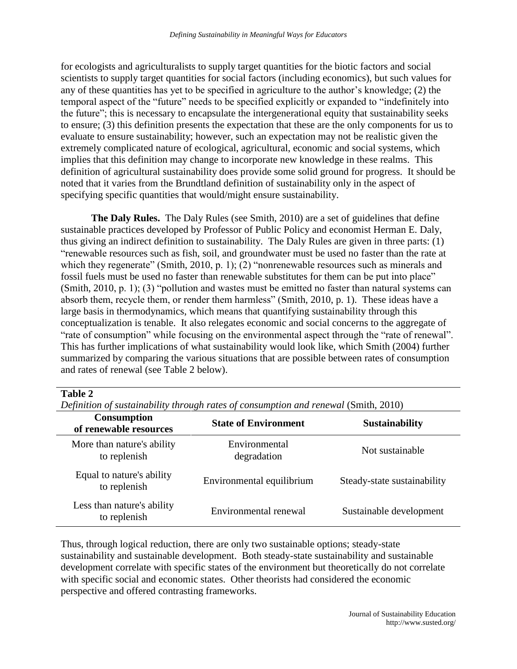for ecologists and agriculturalists to supply target quantities for the biotic factors and social scientists to supply target quantities for social factors (including economics), but such values for any of these quantities has yet to be specified in agriculture to the author"s knowledge; (2) the temporal aspect of the "future" needs to be specified explicitly or expanded to "indefinitely into the future"; this is necessary to encapsulate the intergenerational equity that sustainability seeks to ensure; (3) this definition presents the expectation that these are the only components for us to evaluate to ensure sustainability; however, such an expectation may not be realistic given the extremely complicated nature of ecological, agricultural, economic and social systems, which implies that this definition may change to incorporate new knowledge in these realms. This definition of agricultural sustainability does provide some solid ground for progress. It should be noted that it varies from the Brundtland definition of sustainability only in the aspect of specifying specific quantities that would/might ensure sustainability.

**The Daly Rules.** The Daly Rules (see Smith, 2010) are a set of guidelines that define sustainable practices developed by Professor of Public Policy and economist Herman E. Daly, thus giving an indirect definition to sustainability. The Daly Rules are given in three parts: (1) "renewable resources such as fish, soil, and groundwater must be used no faster than the rate at which they regenerate" (Smith, 2010, p. 1); (2) "nonrenewable resources such as minerals and fossil fuels must be used no faster than renewable substitutes for them can be put into place" (Smith, 2010, p. 1); (3) "pollution and wastes must be emitted no faster than natural systems can absorb them, recycle them, or render them harmless" (Smith, 2010, p. 1). These ideas have a large basis in thermodynamics, which means that quantifying sustainability through this conceptualization is tenable. It also relegates economic and social concerns to the aggregate of "rate of consumption" while focusing on the environmental aspect through the "rate of renewal". This has further implications of what sustainability would look like, which Smith (2004) further summarized by comparing the various situations that are possible between rates of consumption and rates of renewal (see Table 2 below).

## **Table 2**

| <b>Consumption</b><br>of renewable resources | <b>State of Environment</b>  | <b>Sustainability</b>       |  |
|----------------------------------------------|------------------------------|-----------------------------|--|
| More than nature's ability<br>to replenish   | Environmental<br>degradation | Not sustainable             |  |
| Equal to nature's ability<br>to replenish    | Environmental equilibrium    | Steady-state sustainability |  |
| Less than nature's ability<br>to replenish   | Environmental renewal        | Sustainable development     |  |

*Definition of sustainability through rates of consumption and renewal* (Smith, 2010)

Thus, through logical reduction, there are only two sustainable options; steady-state sustainability and sustainable development. Both steady-state sustainability and sustainable development correlate with specific states of the environment but theoretically do not correlate with specific social and economic states. Other theorists had considered the economic perspective and offered contrasting frameworks.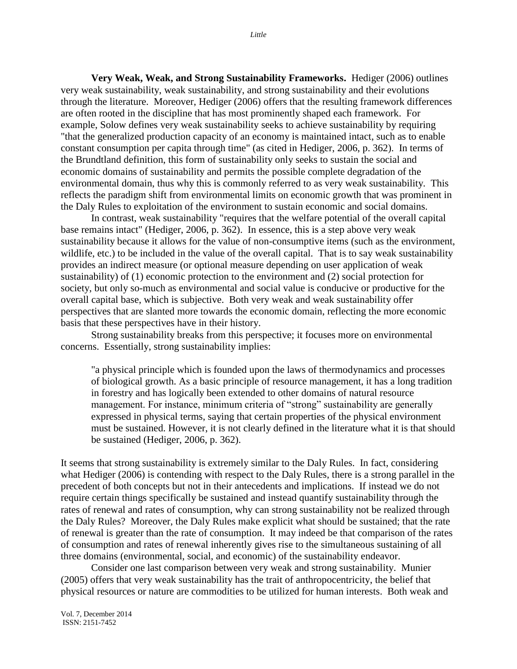**Very Weak, Weak, and Strong Sustainability Frameworks.** Hediger (2006) outlines very weak sustainability, weak sustainability, and strong sustainability and their evolutions through the literature. Moreover, Hediger (2006) offers that the resulting framework differences are often rooted in the discipline that has most prominently shaped each framework. For example, Solow defines very weak sustainability seeks to achieve sustainability by requiring "that the generalized production capacity of an economy is maintained intact, such as to enable constant consumption per capita through time" (as cited in Hediger, 2006, p. 362). In terms of the Brundtland definition, this form of sustainability only seeks to sustain the social and economic domains of sustainability and permits the possible complete degradation of the environmental domain, thus why this is commonly referred to as very weak sustainability. This reflects the paradigm shift from environmental limits on economic growth that was prominent in the Daly Rules to exploitation of the environment to sustain economic and social domains.

In contrast, weak sustainability "requires that the welfare potential of the overall capital base remains intact" (Hediger, 2006, p. 362). In essence, this is a step above very weak sustainability because it allows for the value of non-consumptive items (such as the environment, wildlife, etc.) to be included in the value of the overall capital. That is to say weak sustainability provides an indirect measure (or optional measure depending on user application of weak sustainability) of (1) economic protection to the environment and (2) social protection for society, but only so-much as environmental and social value is conducive or productive for the overall capital base, which is subjective. Both very weak and weak sustainability offer perspectives that are slanted more towards the economic domain, reflecting the more economic basis that these perspectives have in their history.

Strong sustainability breaks from this perspective; it focuses more on environmental concerns. Essentially, strong sustainability implies:

"a physical principle which is founded upon the laws of thermodynamics and processes of biological growth. As a basic principle of resource management, it has a long tradition in forestry and has logically been extended to other domains of natural resource management. For instance, minimum criteria of "strong" sustainability are generally expressed in physical terms, saying that certain properties of the physical environment must be sustained. However, it is not clearly defined in the literature what it is that should be sustained (Hediger, 2006, p. 362).

It seems that strong sustainability is extremely similar to the Daly Rules. In fact, considering what Hediger (2006) is contending with respect to the Daly Rules, there is a strong parallel in the precedent of both concepts but not in their antecedents and implications. If instead we do not require certain things specifically be sustained and instead quantify sustainability through the rates of renewal and rates of consumption, why can strong sustainability not be realized through the Daly Rules? Moreover, the Daly Rules make explicit what should be sustained; that the rate of renewal is greater than the rate of consumption. It may indeed be that comparison of the rates of consumption and rates of renewal inherently gives rise to the simultaneous sustaining of all three domains (environmental, social, and economic) of the sustainability endeavor.

Consider one last comparison between very weak and strong sustainability. Munier (2005) offers that very weak sustainability has the trait of anthropocentricity, the belief that physical resources or nature are commodities to be utilized for human interests. Both weak and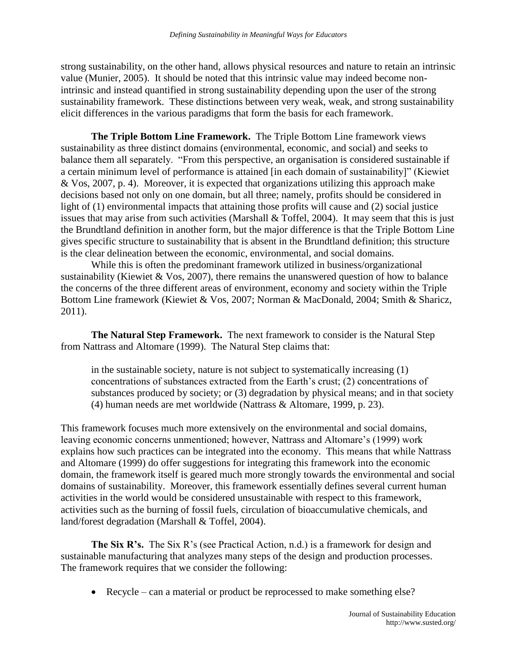strong sustainability, on the other hand, allows physical resources and nature to retain an intrinsic value (Munier, 2005). It should be noted that this intrinsic value may indeed become nonintrinsic and instead quantified in strong sustainability depending upon the user of the strong sustainability framework. These distinctions between very weak, weak, and strong sustainability elicit differences in the various paradigms that form the basis for each framework.

**The Triple Bottom Line Framework.** The Triple Bottom Line framework views sustainability as three distinct domains (environmental, economic, and social) and seeks to balance them all separately. "From this perspective, an organisation is considered sustainable if a certain minimum level of performance is attained [in each domain of sustainability]" (Kiewiet & Vos, 2007, p. 4). Moreover, it is expected that organizations utilizing this approach make decisions based not only on one domain, but all three; namely, profits should be considered in light of (1) environmental impacts that attaining those profits will cause and (2) social justice issues that may arise from such activities (Marshall & Toffel, 2004). It may seem that this is just the Brundtland definition in another form, but the major difference is that the Triple Bottom Line gives specific structure to sustainability that is absent in the Brundtland definition; this structure is the clear delineation between the economic, environmental, and social domains.

While this is often the predominant framework utilized in business/organizational sustainability (Kiewiet & Vos, 2007), there remains the unanswered question of how to balance the concerns of the three different areas of environment, economy and society within the Triple Bottom Line framework (Kiewiet & Vos, 2007; Norman & MacDonald, 2004; Smith & Sharicz, 2011).

**The Natural Step Framework.** The next framework to consider is the Natural Step from Nattrass and Altomare (1999). The Natural Step claims that:

in the sustainable society, nature is not subject to systematically increasing (1) concentrations of substances extracted from the Earth"s crust; (2) concentrations of substances produced by society; or (3) degradation by physical means; and in that society (4) human needs are met worldwide (Nattrass & Altomare, 1999, p. 23).

This framework focuses much more extensively on the environmental and social domains, leaving economic concerns unmentioned; however, Nattrass and Altomare"s (1999) work explains how such practices can be integrated into the economy. This means that while Nattrass and Altomare (1999) do offer suggestions for integrating this framework into the economic domain, the framework itself is geared much more strongly towards the environmental and social domains of sustainability. Moreover, this framework essentially defines several current human activities in the world would be considered unsustainable with respect to this framework, activities such as the burning of fossil fuels, circulation of bioaccumulative chemicals, and land/forest degradation (Marshall & Toffel, 2004).

**The Six R's.** The Six R's (see Practical Action, n.d.) is a framework for design and sustainable manufacturing that analyzes many steps of the design and production processes. The framework requires that we consider the following:

• Recycle – can a material or product be reprocessed to make something else?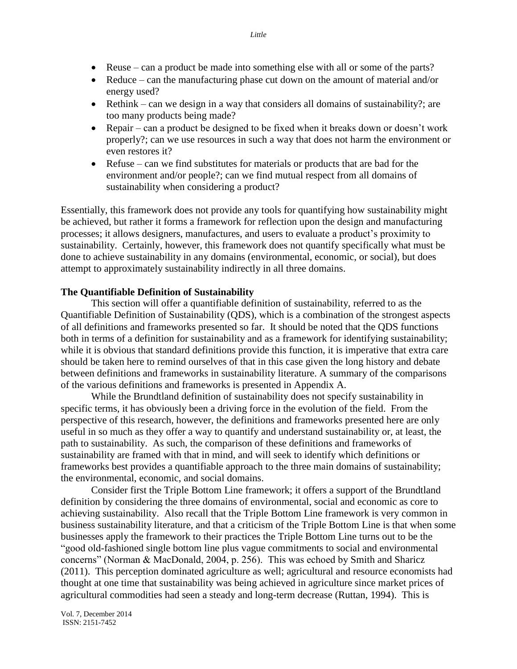- Reuse can a product be made into something else with all or some of the parts?
- Reduce can the manufacturing phase cut down on the amount of material and/or energy used?
- $\bullet$  Rethink can we design in a way that considers all domains of sustainability?; are too many products being made?
- Repair can a product be designed to be fixed when it breaks down or doesn't work properly?; can we use resources in such a way that does not harm the environment or even restores it?
- Refuse can we find substitutes for materials or products that are bad for the environment and/or people?; can we find mutual respect from all domains of sustainability when considering a product?

Essentially, this framework does not provide any tools for quantifying how sustainability might be achieved, but rather it forms a framework for reflection upon the design and manufacturing processes; it allows designers, manufactures, and users to evaluate a product"s proximity to sustainability. Certainly, however, this framework does not quantify specifically what must be done to achieve sustainability in any domains (environmental, economic, or social), but does attempt to approximately sustainability indirectly in all three domains.

#### **The Quantifiable Definition of Sustainability**

This section will offer a quantifiable definition of sustainability, referred to as the Quantifiable Definition of Sustainability (QDS), which is a combination of the strongest aspects of all definitions and frameworks presented so far. It should be noted that the QDS functions both in terms of a definition for sustainability and as a framework for identifying sustainability; while it is obvious that standard definitions provide this function, it is imperative that extra care should be taken here to remind ourselves of that in this case given the long history and debate between definitions and frameworks in sustainability literature. A summary of the comparisons of the various definitions and frameworks is presented in Appendix A.

While the Brundtland definition of sustainability does not specify sustainability in specific terms, it has obviously been a driving force in the evolution of the field. From the perspective of this research, however, the definitions and frameworks presented here are only useful in so much as they offer a way to quantify and understand sustainability or, at least, the path to sustainability. As such, the comparison of these definitions and frameworks of sustainability are framed with that in mind, and will seek to identify which definitions or frameworks best provides a quantifiable approach to the three main domains of sustainability; the environmental, economic, and social domains.

Consider first the Triple Bottom Line framework; it offers a support of the Brundtland definition by considering the three domains of environmental, social and economic as core to achieving sustainability. Also recall that the Triple Bottom Line framework is very common in business sustainability literature, and that a criticism of the Triple Bottom Line is that when some businesses apply the framework to their practices the Triple Bottom Line turns out to be the "good old-fashioned single bottom line plus vague commitments to social and environmental concerns" (Norman & MacDonald, 2004, p. 256). This was echoed by Smith and Sharicz (2011). This perception dominated agriculture as well; agricultural and resource economists had thought at one time that sustainability was being achieved in agriculture since market prices of agricultural commodities had seen a steady and long-term decrease (Ruttan, 1994). This is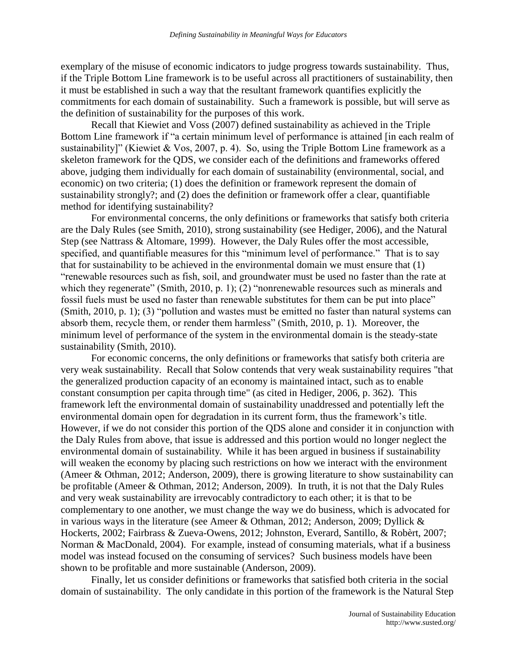exemplary of the misuse of economic indicators to judge progress towards sustainability. Thus, if the Triple Bottom Line framework is to be useful across all practitioners of sustainability, then it must be established in such a way that the resultant framework quantifies explicitly the commitments for each domain of sustainability. Such a framework is possible, but will serve as the definition of sustainability for the purposes of this work.

Recall that Kiewiet and Voss (2007) defined sustainability as achieved in the Triple Bottom Line framework if "a certain minimum level of performance is attained [in each realm of sustainability]" (Kiewiet & Vos, 2007, p. 4). So, using the Triple Bottom Line framework as a skeleton framework for the QDS, we consider each of the definitions and frameworks offered above, judging them individually for each domain of sustainability (environmental, social, and economic) on two criteria; (1) does the definition or framework represent the domain of sustainability strongly?; and (2) does the definition or framework offer a clear, quantifiable method for identifying sustainability?

For environmental concerns, the only definitions or frameworks that satisfy both criteria are the Daly Rules (see Smith, 2010), strong sustainability (see Hediger, 2006), and the Natural Step (see Nattrass & Altomare, 1999). However, the Daly Rules offer the most accessible, specified, and quantifiable measures for this "minimum level of performance." That is to say that for sustainability to be achieved in the environmental domain we must ensure that (1) "renewable resources such as fish, soil, and groundwater must be used no faster than the rate at which they regenerate" (Smith, 2010, p. 1); (2) "nonrenewable resources such as minerals and fossil fuels must be used no faster than renewable substitutes for them can be put into place" (Smith, 2010, p. 1); (3) "pollution and wastes must be emitted no faster than natural systems can absorb them, recycle them, or render them harmless" (Smith, 2010, p. 1). Moreover, the minimum level of performance of the system in the environmental domain is the steady-state sustainability (Smith, 2010).

For economic concerns, the only definitions or frameworks that satisfy both criteria are very weak sustainability. Recall that Solow contends that very weak sustainability requires "that the generalized production capacity of an economy is maintained intact, such as to enable constant consumption per capita through time" (as cited in Hediger, 2006, p. 362). This framework left the environmental domain of sustainability unaddressed and potentially left the environmental domain open for degradation in its current form, thus the framework"s title. However, if we do not consider this portion of the QDS alone and consider it in conjunction with the Daly Rules from above, that issue is addressed and this portion would no longer neglect the environmental domain of sustainability. While it has been argued in business if sustainability will weaken the economy by placing such restrictions on how we interact with the environment (Ameer & Othman, 2012; Anderson, 2009), there is growing literature to show sustainability can be profitable (Ameer & Othman, 2012; Anderson, 2009). In truth, it is not that the Daly Rules and very weak sustainability are irrevocably contradictory to each other; it is that to be complementary to one another, we must change the way we do business, which is advocated for in various ways in the literature (see Ameer & Othman, 2012; Anderson, 2009; Dyllick & Hockerts, 2002; Fairbrass & Zueva-Owens, 2012; Johnston, Everard, Santillo, & Robèrt, 2007; Norman & MacDonald, 2004). For example, instead of consuming materials, what if a business model was instead focused on the consuming of services? Such business models have been shown to be profitable and more sustainable (Anderson, 2009).

Finally, let us consider definitions or frameworks that satisfied both criteria in the social domain of sustainability. The only candidate in this portion of the framework is the Natural Step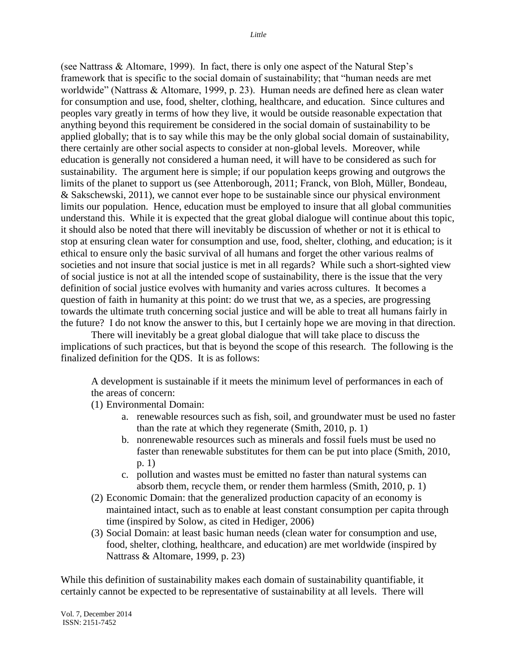(see Nattrass & Altomare, 1999). In fact, there is only one aspect of the Natural Step"s framework that is specific to the social domain of sustainability; that "human needs are met worldwide" (Nattrass & Altomare, 1999, p. 23). Human needs are defined here as clean water for consumption and use, food, shelter, clothing, healthcare, and education. Since cultures and peoples vary greatly in terms of how they live, it would be outside reasonable expectation that anything beyond this requirement be considered in the social domain of sustainability to be applied globally; that is to say while this may be the only global social domain of sustainability, there certainly are other social aspects to consider at non-global levels. Moreover, while education is generally not considered a human need, it will have to be considered as such for sustainability. The argument here is simple; if our population keeps growing and outgrows the limits of the planet to support us (see Attenborough, 2011; Franck, von Bloh, Müller, Bondeau, & Sakschewski, 2011), we cannot ever hope to be sustainable since our physical environment limits our population. Hence, education must be employed to insure that all global communities understand this. While it is expected that the great global dialogue will continue about this topic, it should also be noted that there will inevitably be discussion of whether or not it is ethical to stop at ensuring clean water for consumption and use, food, shelter, clothing, and education; is it ethical to ensure only the basic survival of all humans and forget the other various realms of societies and not insure that social justice is met in all regards? While such a short-sighted view of social justice is not at all the intended scope of sustainability, there is the issue that the very definition of social justice evolves with humanity and varies across cultures. It becomes a question of faith in humanity at this point: do we trust that we, as a species, are progressing towards the ultimate truth concerning social justice and will be able to treat all humans fairly in the future? I do not know the answer to this, but I certainly hope we are moving in that direction.

There will inevitably be a great global dialogue that will take place to discuss the implications of such practices, but that is beyond the scope of this research. The following is the finalized definition for the QDS. It is as follows:

A development is sustainable if it meets the minimum level of performances in each of the areas of concern:

(1) Environmental Domain:

- a. renewable resources such as fish, soil, and groundwater must be used no faster than the rate at which they regenerate (Smith, 2010, p. 1)
- b. nonrenewable resources such as minerals and fossil fuels must be used no faster than renewable substitutes for them can be put into place (Smith, 2010, p. 1)
- c. pollution and wastes must be emitted no faster than natural systems can absorb them, recycle them, or render them harmless (Smith, 2010, p. 1)
- (2) Economic Domain: that the generalized production capacity of an economy is maintained intact, such as to enable at least constant consumption per capita through time (inspired by Solow, as cited in Hediger, 2006)
- (3) Social Domain: at least basic human needs (clean water for consumption and use, food, shelter, clothing, healthcare, and education) are met worldwide (inspired by Nattrass & Altomare, 1999, p. 23)

While this definition of sustainability makes each domain of sustainability quantifiable, it certainly cannot be expected to be representative of sustainability at all levels. There will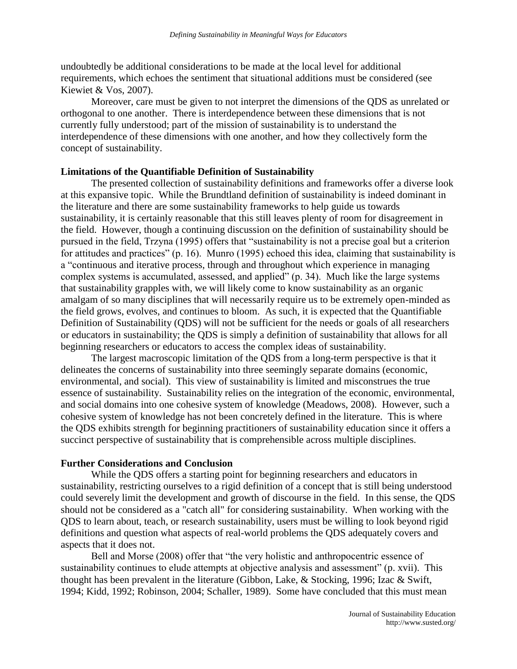undoubtedly be additional considerations to be made at the local level for additional requirements, which echoes the sentiment that situational additions must be considered (see Kiewiet & Vos, 2007).

Moreover, care must be given to not interpret the dimensions of the QDS as unrelated or orthogonal to one another. There is interdependence between these dimensions that is not currently fully understood; part of the mission of sustainability is to understand the interdependence of these dimensions with one another, and how they collectively form the concept of sustainability.

# **Limitations of the Quantifiable Definition of Sustainability**

The presented collection of sustainability definitions and frameworks offer a diverse look at this expansive topic. While the Brundtland definition of sustainability is indeed dominant in the literature and there are some sustainability frameworks to help guide us towards sustainability, it is certainly reasonable that this still leaves plenty of room for disagreement in the field. However, though a continuing discussion on the definition of sustainability should be pursued in the field, Trzyna (1995) offers that "sustainability is not a precise goal but a criterion for attitudes and practices" (p. 16). Munro (1995) echoed this idea, claiming that sustainability is a "continuous and iterative process, through and throughout which experience in managing complex systems is accumulated, assessed, and applied" (p. 34). Much like the large systems that sustainability grapples with, we will likely come to know sustainability as an organic amalgam of so many disciplines that will necessarily require us to be extremely open-minded as the field grows, evolves, and continues to bloom. As such, it is expected that the Quantifiable Definition of Sustainability (QDS) will not be sufficient for the needs or goals of all researchers or educators in sustainability; the QDS is simply a definition of sustainability that allows for all beginning researchers or educators to access the complex ideas of sustainability.

The largest macroscopic limitation of the QDS from a long-term perspective is that it delineates the concerns of sustainability into three seemingly separate domains (economic, environmental, and social). This view of sustainability is limited and misconstrues the true essence of sustainability. Sustainability relies on the integration of the economic, environmental, and social domains into one cohesive system of knowledge (Meadows, 2008). However, such a cohesive system of knowledge has not been concretely defined in the literature. This is where the QDS exhibits strength for beginning practitioners of sustainability education since it offers a succinct perspective of sustainability that is comprehensible across multiple disciplines.

## **Further Considerations and Conclusion**

While the QDS offers a starting point for beginning researchers and educators in sustainability, restricting ourselves to a rigid definition of a concept that is still being understood could severely limit the development and growth of discourse in the field. In this sense, the QDS should not be considered as a "catch all" for considering sustainability. When working with the QDS to learn about, teach, or research sustainability, users must be willing to look beyond rigid definitions and question what aspects of real-world problems the QDS adequately covers and aspects that it does not.

Bell and Morse (2008) offer that "the very holistic and anthropocentric essence of sustainability continues to elude attempts at objective analysis and assessment" (p. xvii). This thought has been prevalent in the literature (Gibbon, Lake, & Stocking, 1996; Izac & Swift, 1994; Kidd, 1992; Robinson, 2004; Schaller, 1989). Some have concluded that this must mean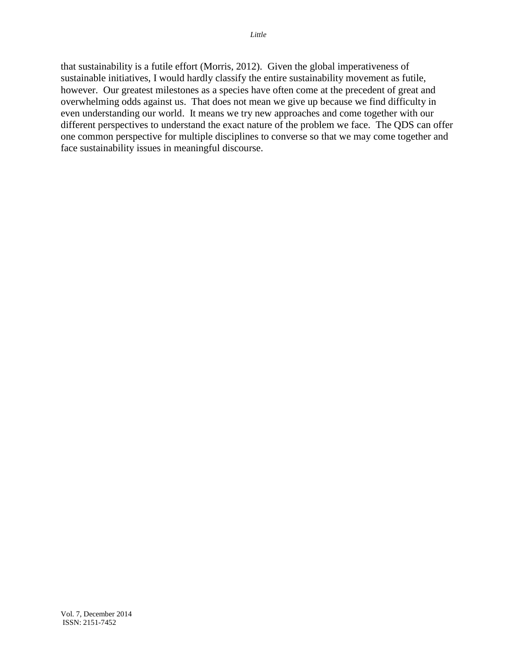that sustainability is a futile effort (Morris, 2012). Given the global imperativeness of sustainable initiatives, I would hardly classify the entire sustainability movement as futile, however. Our greatest milestones as a species have often come at the precedent of great and overwhelming odds against us. That does not mean we give up because we find difficulty in even understanding our world. It means we try new approaches and come together with our different perspectives to understand the exact nature of the problem we face. The QDS can offer one common perspective for multiple disciplines to converse so that we may come together and face sustainability issues in meaningful discourse.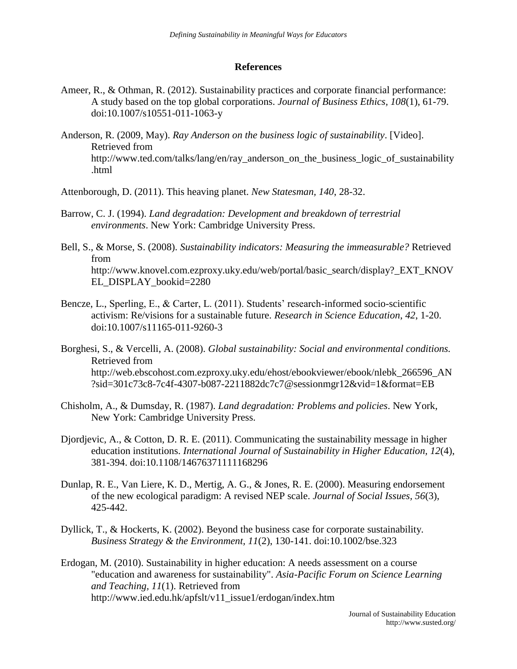#### **References**

- Ameer, R., & Othman, R. (2012). Sustainability practices and corporate financial performance: A study based on the top global corporations. *Journal of Business Ethics, 108*(1), 61-79. doi:10.1007/s10551-011-1063-y
- Anderson, R. (2009, May). *Ray Anderson on the business logic of sustainability*. [Video]. Retrieved from http://www.ted.com/talks/lang/en/ray\_anderson\_on\_the\_business\_logic\_of\_sustainability .html
- Attenborough, D. (2011). This heaving planet. *New Statesman, 140*, 28-32.
- Barrow, C. J. (1994). *Land degradation: Development and breakdown of terrestrial environments*. New York: Cambridge University Press.
- Bell, S., & Morse, S. (2008). *Sustainability indicators: Measuring the immeasurable?* Retrieved from http://www.knovel.com.ezproxy.uky.edu/web/portal/basic\_search/display?\_EXT\_KNOV EL\_DISPLAY\_bookid=2280
- Bencze, L., Sperling, E., & Carter, L. (2011). Students' research-informed socio-scientific activism: Re/visions for a sustainable future. *Research in Science Education*, *42*, 1-20. doi:10.1007/s11165-011-9260-3
- Borghesi, S., & Vercelli, A. (2008). *Global sustainability: Social and environmental conditions.* Retrieved from http://web.ebscohost.com.ezproxy.uky.edu/ehost/ebookviewer/ebook/nlebk\_266596\_AN ?sid=301c73c8-7c4f-4307-b087-2211882dc7c7@sessionmgr12&vid=1&format=EB
- Chisholm, A., & Dumsday, R. (1987). *Land degradation: Problems and policies*. New York, New York: Cambridge University Press.
- Djordjevic, A., & Cotton, D. R. E. (2011). Communicating the sustainability message in higher education institutions. *International Journal of Sustainability in Higher Education, 12*(4), 381-394. doi:10.1108/14676371111168296
- Dunlap, R. E., Van Liere, K. D., Mertig, A. G., & Jones, R. E. (2000). Measuring endorsement of the new ecological paradigm: A revised NEP scale. *Journal of Social Issues, 56*(3), 425-442.
- Dyllick, T., & Hockerts, K. (2002). Beyond the business case for corporate sustainability. *Business Strategy & the Environment, 11*(2), 130-141. doi:10.1002/bse.323
- Erdogan, M. (2010). Sustainability in higher education: A needs assessment on a course "education and awareness for sustainability". *Asia-Pacific Forum on Science Learning and Teaching, 11*(1). Retrieved from http://www.ied.edu.hk/apfslt/v11\_issue1/erdogan/index.htm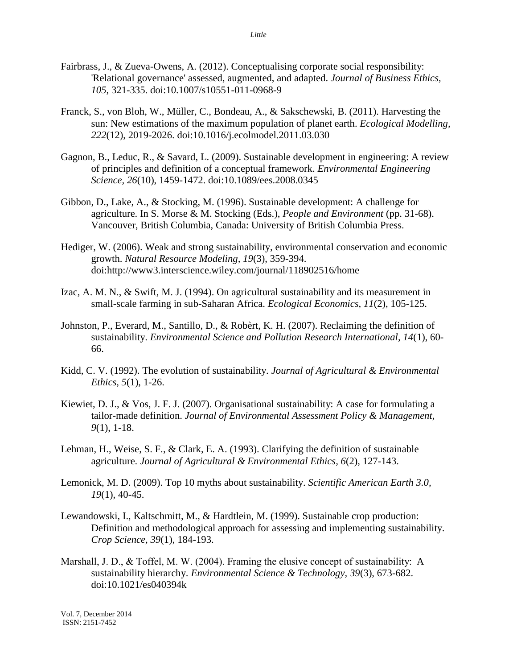- Fairbrass, J., & Zueva-Owens, A. (2012). Conceptualising corporate social responsibility: 'Relational governance' assessed, augmented, and adapted. *Journal of Business Ethics, 105*, 321-335. doi:10.1007/s10551-011-0968-9
- Franck, S., von Bloh, W., Müller, C., Bondeau, A., & Sakschewski, B. (2011). Harvesting the sun: New estimations of the maximum population of planet earth. *Ecological Modelling, 222*(12), 2019-2026. doi:10.1016/j.ecolmodel.2011.03.030
- Gagnon, B., Leduc, R., & Savard, L. (2009). Sustainable development in engineering: A review of principles and definition of a conceptual framework. *Environmental Engineering Science, 26*(10), 1459-1472. doi:10.1089/ees.2008.0345
- Gibbon, D., Lake, A., & Stocking, M. (1996). Sustainable development: A challenge for agriculture. In S. Morse & M. Stocking (Eds.), *People and Environment* (pp. 31-68). Vancouver, British Columbia, Canada: University of British Columbia Press.
- Hediger, W. (2006). Weak and strong sustainability, environmental conservation and economic growth. *Natural Resource Modeling, 19*(3), 359-394. doi:http://www3.interscience.wiley.com/journal/118902516/home
- Izac, A. M. N., & Swift, M. J. (1994). On agricultural sustainability and its measurement in small-scale farming in sub-Saharan Africa. *Ecological Economics, 11*(2), 105-125.
- Johnston, P., Everard, M., Santillo, D., & Robèrt, K. H. (2007). Reclaiming the definition of sustainability. *Environmental Science and Pollution Research International, 14*(1), 60- 66.
- Kidd, C. V. (1992). The evolution of sustainability. *Journal of Agricultural & Environmental Ethics, 5*(1), 1-26.
- Kiewiet, D. J., & Vos, J. F. J. (2007). Organisational sustainability: A case for formulating a tailor-made definition. *Journal of Environmental Assessment Policy & Management, 9*(1), 1-18.
- Lehman, H., Weise, S. F., & Clark, E. A. (1993). Clarifying the definition of sustainable agriculture. *Journal of Agricultural & Environmental Ethics, 6*(2), 127-143.
- Lemonick, M. D. (2009). Top 10 myths about sustainability. *Scientific American Earth 3.0, 19*(1), 40-45.
- Lewandowski, I., Kaltschmitt, M., & Hardtlein, M. (1999). Sustainable crop production: Definition and methodological approach for assessing and implementing sustainability. *Crop Science, 39*(1), 184-193.
- Marshall, J. D., & Toffel, M. W. (2004). Framing the elusive concept of sustainability: A sustainability hierarchy. *Environmental Science & Technology, 39*(3), 673-682. doi:10.1021/es040394k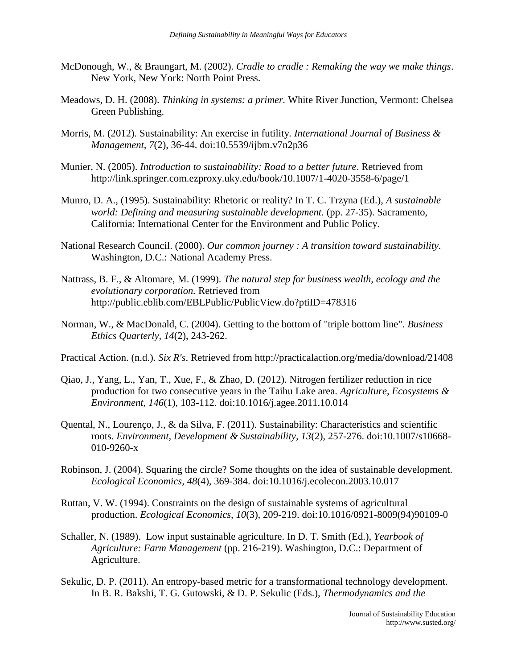- McDonough, W., & Braungart, M. (2002). *Cradle to cradle : Remaking the way we make things*. New York, New York: North Point Press.
- Meadows, D. H. (2008). *Thinking in systems: a primer.* White River Junction, Vermont: Chelsea Green Publishing.
- Morris, M. (2012). Sustainability: An exercise in futility. *International Journal of Business & Management, 7*(2), 36-44. doi:10.5539/ijbm.v7n2p36
- Munier, N. (2005). *Introduction to sustainability: Road to a better future*. Retrieved from http://link.springer.com.ezproxy.uky.edu/book/10.1007/1-4020-3558-6/page/1
- Munro, D. A., (1995). Sustainability: Rhetoric or reality? In T. C. Trzyna (Ed.), *A sustainable world: Defining and measuring sustainable development.* (pp. 27-35). Sacramento, California: International Center for the Environment and Public Policy.
- National Research Council. (2000). *Our common journey : A transition toward sustainability.*  Washington, D.C.: National Academy Press.
- Nattrass, B. F., & Altomare, M. (1999). *The natural step for business wealth, ecology and the evolutionary corporation.* Retrieved from http://public.eblib.com/EBLPublic/PublicView.do?ptiID=478316
- Norman, W., & MacDonald, C. (2004). Getting to the bottom of "triple bottom line". *Business Ethics Quarterly, 14*(2), 243-262.
- Practical Action. (n.d.). *Six R's*. Retrieved from http://practicalaction.org/media/download/21408
- Qiao, J., Yang, L., Yan, T., Xue, F., & Zhao, D. (2012). Nitrogen fertilizer reduction in rice production for two consecutive years in the Taihu Lake area. *Agriculture, Ecosystems & Environment, 146*(1), 103-112. doi:10.1016/j.agee.2011.10.014
- Quental, N., Lourenço, J., & da Silva, F. (2011). Sustainability: Characteristics and scientific roots. *Environment, Development & Sustainability, 13*(2), 257-276. doi:10.1007/s10668- 010-9260-x
- Robinson, J. (2004). Squaring the circle? Some thoughts on the idea of sustainable development. *Ecological Economics, 48*(4), 369-384. doi:10.1016/j.ecolecon.2003.10.017
- Ruttan, V. W. (1994). Constraints on the design of sustainable systems of agricultural production. *Ecological Economics, 10*(3), 209-219. doi:10.1016/0921-8009(94)90109-0
- Schaller, N. (1989). Low input sustainable agriculture. In D. T. Smith (Ed.), *Yearbook of Agriculture: Farm Management* (pp. 216-219). Washington, D.C.: Department of Agriculture.
- Sekulic, D. P. (2011). An entropy-based metric for a transformational technology development. In B. R. Bakshi, T. G. Gutowski, & D. P. Sekulic (Eds.), *Thermodynamics and the*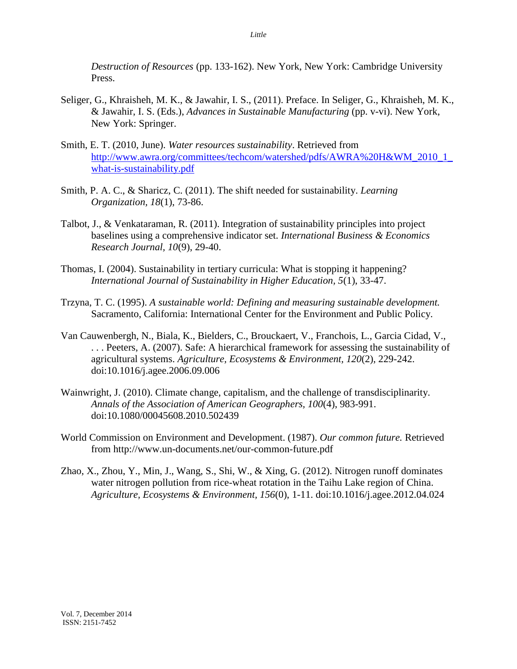*Destruction of Resources* (pp. 133-162). New York, New York: Cambridge University Press.

- Seliger, G., Khraisheh, M. K., & Jawahir, I. S., (2011). Preface. In Seliger, G., Khraisheh, M. K., & Jawahir, I. S. (Eds.), *Advances in Sustainable Manufacturing* (pp. v-vi). New York, New York: Springer.
- Smith, E. T. (2010, June). *Water resources sustainability*. Retrieved from [http://www.awra.org/committees/techcom/watershed/pdfs/AWRA%20H&WM\\_2010\\_1\\_](http://www.awra.org/committees/techcom/watershed/pdfs/AWRA%20H&WM_2010_1_what-is-sustainability.pdf) [what-is-sustainability.pdf](http://www.awra.org/committees/techcom/watershed/pdfs/AWRA%20H&WM_2010_1_what-is-sustainability.pdf)
- Smith, P. A. C., & Sharicz, C. (2011). The shift needed for sustainability. *Learning Organization, 18*(1), 73-86.
- Talbot, J., & Venkataraman, R. (2011). Integration of sustainability principles into project baselines using a comprehensive indicator set. *International Business & Economics Research Journal, 10*(9), 29-40.
- Thomas, I. (2004). Sustainability in tertiary curricula: What is stopping it happening? *International Journal of Sustainability in Higher Education, 5*(1), 33-47.
- Trzyna, T. C. (1995). *A sustainable world: Defining and measuring sustainable development.*  Sacramento, California: International Center for the Environment and Public Policy.
- Van Cauwenbergh, N., Biala, K., Bielders, C., Brouckaert, V., Franchois, L., Garcia Cidad, V., . . . Peeters, A. (2007). Safe: A hierarchical framework for assessing the sustainability of agricultural systems. *Agriculture, Ecosystems & Environment, 120*(2), 229-242. doi:10.1016/j.agee.2006.09.006
- Wainwright, J. (2010). Climate change, capitalism, and the challenge of transdisciplinarity. *Annals of the Association of American Geographers, 100*(4), 983-991. doi:10.1080/00045608.2010.502439
- World Commission on Environment and Development. (1987). *Our common future.* Retrieved from http://www.un-documents.net/our-common-future.pdf
- Zhao, X., Zhou, Y., Min, J., Wang, S., Shi, W., & Xing, G. (2012). Nitrogen runoff dominates water nitrogen pollution from rice-wheat rotation in the Taihu Lake region of China. *Agriculture, Ecosystems & Environment, 156*(0), 1-11. doi:10.1016/j.agee.2012.04.024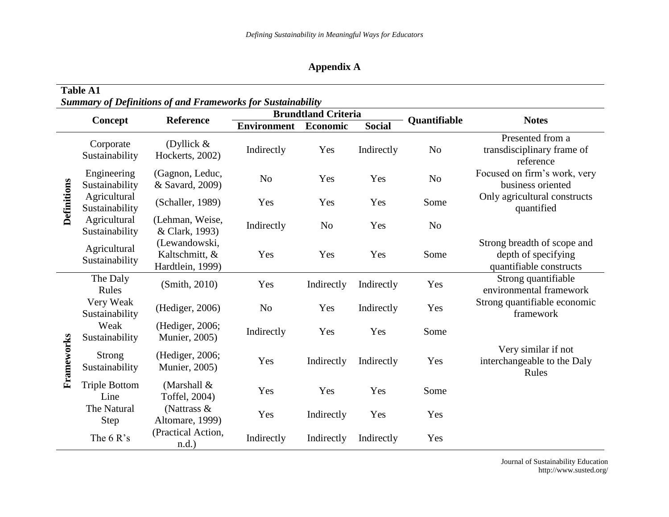# **Appendix A**

| <b>Table A1</b><br><b>Summary of Definitions of and Frameworks for Sustainability</b> |                                |                                                     |                            |                |               |                     |                                                                               |  |  |
|---------------------------------------------------------------------------------------|--------------------------------|-----------------------------------------------------|----------------------------|----------------|---------------|---------------------|-------------------------------------------------------------------------------|--|--|
|                                                                                       |                                |                                                     | <b>Brundtland Criteria</b> |                |               |                     |                                                                               |  |  |
|                                                                                       | Concept                        | Reference                                           | <b>Environment</b>         | Economic       | <b>Social</b> | <b>Quantifiable</b> | <b>Notes</b>                                                                  |  |  |
| <b>Definitions</b>                                                                    | Corporate<br>Sustainability    | (Dyllick $&$<br>Hockerts, 2002)                     | Indirectly                 | Yes            | Indirectly    | N <sub>o</sub>      | Presented from a<br>transdisciplinary frame of<br>reference                   |  |  |
|                                                                                       | Engineering<br>Sustainability  | (Gagnon, Leduc,<br>& Savard, 2009)                  | N <sub>0</sub>             | Yes            | Yes           | N <sub>o</sub>      | Focused on firm's work, very<br>business oriented                             |  |  |
|                                                                                       | Agricultural<br>Sustainability | (Schaller, 1989)                                    | Yes                        | Yes            | Yes           | Some                | Only agricultural constructs<br>quantified                                    |  |  |
|                                                                                       | Agricultural<br>Sustainability | (Lehman, Weise,<br>& Clark, 1993)                   | Indirectly                 | N <sub>o</sub> | Yes           | N <sub>0</sub>      |                                                                               |  |  |
|                                                                                       | Agricultural<br>Sustainability | (Lewandowski,<br>Kaltschmitt, &<br>Hardtlein, 1999) | Yes                        | Yes            | Yes           | Some                | Strong breadth of scope and<br>depth of specifying<br>quantifiable constructs |  |  |
| Frameworks                                                                            | The Daly<br>Rules              | (Smith, 2010)                                       | Yes                        | Indirectly     | Indirectly    | Yes                 | Strong quantifiable<br>environmental framework                                |  |  |
|                                                                                       | Very Weak<br>Sustainability    | (Hediger, 2006)                                     | N <sub>0</sub>             | Yes            | Indirectly    | Yes                 | Strong quantifiable economic<br>framework                                     |  |  |
|                                                                                       | Weak<br>Sustainability         | (Hediger, 2006;<br><b>Munier</b> , 2005)            | Indirectly                 | Yes            | Yes           | Some                |                                                                               |  |  |
|                                                                                       | Strong<br>Sustainability       | (Hediger, 2006;<br><b>Munier</b> , 2005)            | Yes                        | Indirectly     | Indirectly    | Yes                 | Very similar if not<br>interchangeable to the Daly<br>Rules                   |  |  |
|                                                                                       | <b>Triple Bottom</b><br>Line   | (Marshall $&$<br>Toffel, 2004)                      | Yes                        | Yes            | Yes           | Some                |                                                                               |  |  |
|                                                                                       | The Natural<br>Step            | (Nattrass &<br>Altomare, 1999)                      | Yes                        | Indirectly     | Yes           | Yes                 |                                                                               |  |  |
|                                                                                       | The $6R's$                     | (Practical Action,<br>$n.d.$ )                      | Indirectly                 | Indirectly     | Indirectly    | Yes                 |                                                                               |  |  |

Journal of Sustainability Education http://www.susted.org/